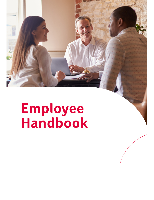# **Employee**<br>Handbook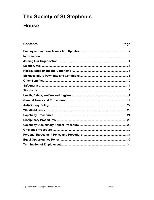# The Society of St Stephen's **House**

| <b>Contents</b> | Page |
|-----------------|------|
|                 |      |
|                 |      |
|                 |      |
|                 |      |
|                 |      |
|                 |      |
|                 |      |
|                 |      |
|                 |      |
|                 |      |
|                 |      |
|                 |      |
|                 |      |
|                 |      |
|                 |      |
|                 |      |
|                 |      |
|                 |      |
|                 |      |
|                 |      |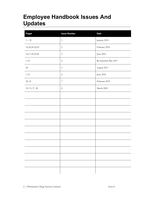# **Employee Handbook Issues And Updates**

| Pages               | <b>Issue Number</b>         | <b>Date</b>          |
|---------------------|-----------------------------|----------------------|
| $1-32\,$            | $1\,$                       | January 2013         |
| 16, 18, 24 - 26, 29 | $\sqrt{2}$                  | February 2015        |
| 16, 17, 18, 22, 28  | $\ensuremath{\mathfrak{Z}}$ | June 2016            |
| $1 - 33$            | $\overline{4}$              | Re-launched May 2017 |
| $20\,$              | $\mathsf S$                 | August 2017          |
| $1 - 33$            | $\sqrt{6}$                  | June 2018            |
| 20, 21              | $\boldsymbol{7}$            | February 2019        |
| 10, 15, 17, 28      | $\,8\,$                     | March 2020           |
|                     |                             |                      |
|                     |                             |                      |
|                     |                             |                      |
|                     |                             |                      |
|                     |                             |                      |
|                     |                             |                      |
|                     |                             |                      |
|                     |                             |                      |
|                     |                             |                      |
|                     |                             |                      |
|                     |                             |                      |
|                     |                             |                      |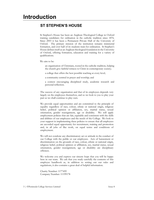# **ST STEPHEN'S HOUSE**

St Stephen's House has been an Anglican Theological College in Oxford training candidates for ordination in the catholic tradition since 1876. Since 2003 it has been a Permanent Private Hall of the University of Oxford. The primary mission of the institution remains ministerial formation, and over half of its students train for ordination. St Stephen's House defines itself as an Anglican theological foundation in the University of Oxford, offering formation, education and training for a variety of qualifications.

We aim to be:

an organisation of Christians, rooted in the catholic tradition, helping the church give faithful witness to Christ in contemporary society;

a college that offers the best possible teaching at every level;

a community centred in prayer and worship; and

a context encouraging disciplined study, academic research and personal reflection.

The success of any organisation and that of its employees depends very largely on the employees themselves, and so we look to you to play your part as we shall continue to play ours.

We provide equal opportunities and are committed to the principle of equality regardless of race, colour, ethnic or national origin, religious belief, political opinion or affiliation, sex, marital status, sexual orientation, gender reassignment, age or disability. We will apply employment policies that are fair, equitable and consistent with the skills and abilities of our employees and the needs of the College. We look to your support in implementing these policies to ensure that all employees are accorded equal opportunity for recruitment, training and promotion and, in all jobs of like work, on equal terms and conditions of employment.

We will not condone any discriminatory act or attitude in the conduct of our College with the public or our employees. Acts of harassment or discrimination on the grounds of race, colour, ethnic or national origin, religious belief, political opinion or affiliation, sex, marital status, sexual orientation, gender reassignment, age or disability are disciplinary offences.

We welcome you and express our sincere hope that you will be happy here in our team. We ask that you study carefully the contents of this employee handbook as, in addition to setting out our rules and regulations, it also contains a great deal of helpful information.

Charity Number: 1177459 Company Number: 11199178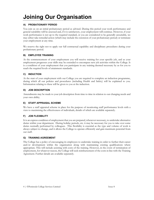# **Joining Our Organisation**

# **A) PROBATIONARY PERIOD**

You join us on an initial probationary period as advised. During this period your work performance and general suitability will be assessed and, if it is satisfactory, your employment will continue. However, if your work performance is not up to the required standard, or you are considered to be generally unsuitable, we may either take remedial action (which may include the extension of your probationary period) or terminate your employment at any time.

We reserve the right not to apply our full contractual capability and disciplinary procedures during your probationary period.

# **B) EMPLOYEE TRAINING**

At the commencement of your employment you will receive training for your specific job, and as your employment progresses your skills may be extended to encompass new job activities within the College. It is a condition of your employment that you participate in any training deemed necessary by us for you to reach the required levels of attainment standards.

# **C) INDUCTION**

At the start of your employment with our College you are required to complete an induction programme, during which all our policies and procedures (including Health and Safety) will be explained to you. Information relating to these will be given to you at the induction.

#### **D) JOB DESCRIPTION**

Amendments may be made to your job description from time to time in relation to our changing needs and your own ability.

#### **E) STAFF APPRAISAL SCHEME**

We have a staff appraisal scheme in place for the purpose of monitoring staff performance levels with a view to maximising the effectiveness of individuals, details of which are available separately.

# **F) JOB FLEXIBILITY**

It is an express condition of employment that you are prepared, whenever necessary, to undertake alternative duties within your department. During holiday periods, etc. it may be necessary for you to take over some duties normally performed by colleagues. This flexibility is essential as the type and volume of work is always subject to change, and it allows the College to operate efficiently and gain maximum potential from our staff.

#### **G) TRAINING AGREEMENT**

The College has a policy of encouraging its employees to undertake training in order to further their career and/or development within the organisation along with maintaining existing qualifications where appropriate. This will include assisting with costs of the training. However, in the event of termination of employment, for whatever reason, the College will seek reimbursement of the costs in line with the Training Agreement. Further details are available separately.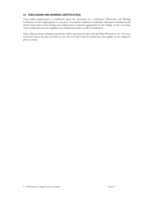#### **H) DISCLOSURE AND BARRING CERTIFICATE(S)**

Your initial employment is conditional upon the provision of a satisfactory Disclosure and Barring Certificate of a level appropriate to your post. You may be required to undertake subsequent criminal record checks from time to time during your employment as deemed appropriate by the College. In the event that such certificate(s) are not supplied your employment with us will be terminated.

Data collected about criminal convictions will be processed in line with the Data Protection Act. You may read more about the data we hold on you, why we hold it and the lawful basis that applies in the employee privacy notice.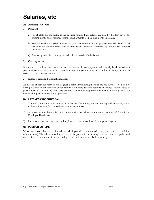# **Salaries, etc**

# **A) ADMINISTRATION**

#### **1) Payment**

- a) For all staff the pay period is the calendar month. Basic salaries are paid by the 25th day of the current month and overtime/commission payments are paid one month in arrears.
- b) You will receive a payslip showing how the total amount of your pay has been calculated. It will also show the deductions that have been made and the reasons for them, e.g. Income Tax, National Insurance, etc.
- c) Any pay queries that you may have should be raised with the Bursar.

#### **2) Overpayments**

If you are overpaid for any reason, the total amount of the overpayment will normally be deducted from your next payment but if this would cause hardship, arrangements may be made for the overpayment to be recovered over a longer period.

#### **3) Income Tax and National Insurance**

At the end of each tax year you will be given a form P60 showing the total pay you have received from us during that year and the amount of deductions for Income Tax and National Insurance. You may also be given a form P11D showing non-salary benefits. You should keep these documents in a safe place as you may need to produce them for tax purposes.

#### **B) LATENESS/ABSENTEEISM**

- 1) You must attend for work punctually at the specified time(s) and you are required to comply strictly with any time recording procedures relating to your work.
- 2) All absences must be notified in accordance with the sickness reporting procedures laid down in this Employee Handbook.
- 3) Lateness or absence may result in disciplinary action and/or loss of appropriate payment.

# **C) PENSION SCHEME**

We operate a contributory pension scheme which you will be auto-enrolled into (subject to the conditions of the scheme). The scheme enables you to save for your retirement using your own money, together with tax relief and contributions from the College. Further details are available separately.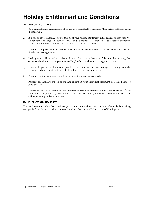# **Holiday Entitlement and Conditions**

# **A) ANNUAL HOLIDAYS**

- 1) Your annual holiday entitlement is shown in your individual Statement of Main Terms of Employment (Form SMT).
- 2) It is our policy to encourage you to take all of your holiday entitlement in the current holiday year. We do not permit holidays to be carried forward and no payment in lieu will be made in respect of untaken holidays other than in the event of termination of your employment.
- 3) You must complete the holiday request form and have it signed by your Manager before you make any firm holiday arrangements.
- 4) Holiday dates will normally be allocated on a "first come first served" basis whilst ensuring that operational efficiency and appropriate staffing levels are maintained throughout the year.
- 5) You should give as much notice as possible of your intention to take holidays, and in any event the notice period must be at least twice the length of the holiday to be taken.
- 6) You may not normally take more than two working weeks consecutively.
- 7) Payment for holidays will be at the rate shown in your individual Statement of Main Terms of Employment.
- 8) You are required to reserve sufficient days from your annual entitlement to cover the Christmas/New Year shut-down period. If you have not accrued sufficient holiday entitlement to cover this period you will be given unpaid leave of absence.

#### **B) PUBLIC/BANK HOLIDAYS**

Your entitlement to public/bank holidays (and to any additional payment which may be made for working on a public/bank holiday) is shown in your individual Statement of Main Terms of Employment.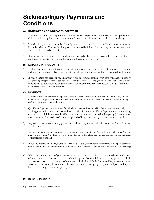# **Sickness/Injury Payments and Conditions**

## **A) NOTIFICATION OF INCAPACITY FOR WORK**

- 1) You must notify us by telephone on the first day of incapacity at the earliest possible opportunity. Other than in exceptional circumstances notification should be made personally, to your Manager.
- 2) You should try to give some indication of your expected return date and notify us as soon as possible if this date changes. The notification procedures should be followed on each day of absence unless you are covered by a medical certificate.
- 3) If your incapacity extends to more than seven calendar days you are required to notify us of your continued incapacity once a week thereafter, unless otherwise agreed.

#### **B) EVIDENCE OF INCAPACITY**

- 1) Medical certificates are not issued for short-term incapacity. In these cases of incapacity (up to and including seven calendar days) you must sign a self-certification absence form on your return to work.
- 2) If your sickness has been (or you know that it will be) for longer than seven days (whether or not they are working days) you should see your doctor and make sure he/she gives you a medical certificate and forward this to us without delay. Subsequently you must supply us with consecutive medical certificates to cover the whole of your absence.

#### **C) PAYMENTS**

- 1) You are entitled to statutory sick pay (SSP) if you are absent for four or more consecutive days because of sickness or injury provided you meet the statutory qualifying conditions. SSP is treated like wages and is subject to normal deductions.
- 2) Qualifying days are the only days for which you are entitled to SSP. These days are normally your working days unless otherwise notified to you. The first three qualifying days of absence are waiting days for which SSP is not payable. Where a second or subsequent period of incapacity (of four days or more) occurs within 56 days of a previous period of incapacity, waiting days are not served again.
- 3) Any contractual sickness/injury payments are shown in your individual Statement of Main Terms of Employment.
- 4) Any days of contractual sickness/injury payments which qualify for SSP will be offset against SSP on a day-to-day basis. A deduction will be made for any other state benefits received if you are excluded or transferred from SSP.
- 5) If you are entitled to any payments in excess of SSP and your entitlement expires, full or part payment may be allowed at our discretion where it is considered that there are special circumstances warranting it.
- 6) Where the circumstances of your incapacity are such that you receive or are awarded any sum by way of compensation or damages in respect of the incapacity from a third party, then any payments which we may have made to you because of the absence (including SSP) shall be repaid by you to us up to an amount not exceeding the amount of the compensation or damages paid by the third party and up to, but not exceeding, any amount paid by us.

#### **D) RETURN TO WORK**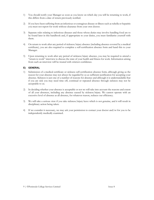- 1) You should notify your Manager as soon as you know on which day you will be returning to work, if this differs from a date of return previously notified.
- 2) If you have been suffering from an infectious or contagious disease or illness such as rubella or hepatitis you must not report for work without clearance from your own doctor.
- 3) Separate rules relating to infectious diseases and those whose duties may involve handling food are to be found later in this handbook and, if appropriate to your duties, you must familiarise yourself with them.
- 4) On return to work after any period of sickness/injury absence (including absence covered by a medical certificate), you are also required to complete a self-certification absence form and hand this to your Manager.
- 5) Upon returning to work after any period of sickness/injury absence, you may be required to attend a "return to work" interview to discuss the state of your health and fitness for work. Information arising from such an interview will be treated with strictest confidence.

#### **E) GENERAL**

- 1) Submission of a medical certificate or sickness self-certification absence form, although giving us the reason for your absence may not always be regarded by us as sufficient justification for accepting your absence. Sickness is just one of a number of reasons for absence and although it is understandable that if you are sick you may need time off, continual or repeated absence through sickness may not be acceptable to us.
- 2) In deciding whether your absence is acceptable or not we will take into account the reasons and extent of all your absences, including any absence caused by sickness/injury. We cannot operate with an excessive level of absence as all absence, for whatever reason, reduces our efficiency.
- 3) We will take a serious view if you take sickness/injury leave which is not genuine, and it will result in disciplinary action being taken.
- 4) If we consider it necessary, we may ask your permission to contact your doctor and/or for you to be independently medically examined.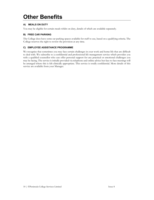# **Other Benefits**

# **A) MEALS ON DUTY**

You may be eligible for certain meals whilst on duty, details of which are available separately.

## **B) FREE CAR PARKING**

The College does have some car parking spaces available for staff to use, based on a qualifying criteria. The College reserves the right to review the provision at any time.

#### **C) EMPLOYEE ASSISTANCE PROGRAMME**

We recognise that sometimes you may face certain challenges in your work and home life that are difficult to deal with. We subscribe to a confidential and professional life management service which provides you with a qualified counsellor who can offer personal support for any practical or emotional challenges you may be facing. The service is initially provided via telephone and online advice but face to face meetings will be arranged where this is felt clinically appropriate. This service is totally confidential. More details of this service are available from your Manager.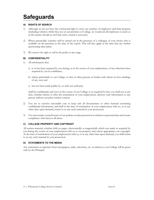# **Safeguards**

# **A) RIGHTS OF SEARCH**

- 1) Although we do not have the contractual right to carry out searches of employees and their property (including vehicles) whilst they are on our premises or College, we would ask all employees to assist us in this matter should we feel that such a search is necessary.
- 2) Where practicable, searches will be carried out in the presence of a colleague of your choice who is available on the premises at the time of the search. This will also apply at the time that any further questioning takes place.
- 3) We reserve the right to call in the police at any stage.

# **B) CONFIDENTIALITY**

- 1) All information that:
	- a) is or has been acquired by you during, or in the course of your employment, or has otherwise been acquired by you in confidence;
	- b) relates particularly to our College, or that of other persons or bodies with whom we have dealings of any sort; and
	- c) has not been made public by, or with our authority;

shall be confidential, and (save in the course of our College or as required by law) you shall not at any time, whether before or after the termination of your employment, disclose such information to any person without our prior written consent.

- 2) You are to exercise reasonable care to keep safe all documentary or other material containing confidential information, and shall at the time of termination of your employment with us, or at any other time upon demand, return to us any such material in your possession.
- 3) You must make yourself aware of our policies on data protection in relation to personal data and ensure compliance with them at all times.

# **C) COLLEGE PROPERTY AND COPYRIGHT**

All written material, whether held on paper, electronically or magnetically which was made or acquired by you during the course of your employment with us, is our property and, where appropriate, our copyright. At the time of termination of your employment with us, or at any other time upon demand, you shall return to us any such material in your possession.

# **D) STATEMENTS TO THE MEDIA**

Any statements to reporters from newspapers, radio, television, etc. in relation to our College will be given only by the Principal.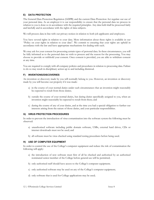#### **E) DATA PROTECTION**

The General Data Protection Regulation (GDPR) and the current Data Protection Act regulate our use of your personal data. As an employer it is our responsibility to ensure that the personal data we process in relation to you is done so in accordance with the required principles. Any data held shall be processed fairly and lawfully and in accordance with the rights of data subjects.

We will process data in line with our privacy notices in relation to both job applicants and employees.

You have several rights in relation to your data. More information about these rights is available in our "Policy on your rights in relation to your data". We commit to ensuring that your rights are upheld in accordance with the law and have appropriate mechanisms for dealing with such.

We may ask for your consent for processing certain types of personal data. In these circumstances, you will be fully informed as to the personal data we wish to process and the reason for the processing. You may choose to provide or withhold your consent. Once consent is provided, you are able to withdraw consent at any time.

You are required to comply with all company policies and procedures in relation to processing data. Failure to do so may result in disciplinary action up to and including dismissal.

#### **F) INVENTIONS/DISCOVERIES**

An invention or discovery made by you will normally belong to you. However, an invention or discovery made by you will become our property if it was made:

- a) in the course of your normal duties under such circumstances that an invention might reasonably be expected to result from those duties;
- b) outside the course of your normal duties, but during duties specifically assigned to you, when an invention might reasonably be expected to result from these; and
- c) during the course of any of your duties, and at the time you had a special obligation to further our interests arising from the nature of those duties, and your particular responsibilities.

#### **G) VIRUS PROTECTION PROCEDURES**

In order to prevent the introduction of virus contamination into the software system the following must be observed:

- a) unauthorised software including public domain software, USBs, external hard drives, CDs or internet downloads must not be used; and
- b) all software must be virus checked using standard testing procedures before being used.

#### **H) USE OF COMPUTER EQUIPMENT**

In order to control the use of the College's computer equipment and reduce the risk of contamination the following will apply:

- a) the introduction of new software must first of all be checked and authorised by an authorised nominated senior member of the College before general use will be permitted;
- b) only authorised staff should have access to the College's computer equipment;
- c) only authorised software may be used on any of the College's computer equipment;
- d) only software that is used for College applications may be used;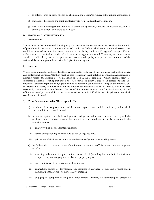- e) no software may be brought onto or taken from the College's premises without prior authorisation;
- f) unauthorised access to the computer facility will result in disciplinary action; and
- g) unauthorised copying and/or removal of computer equipment/software will result in disciplinary action, such actions could lead to dismissal.

#### **I) E-MAIL AND INTERNET POLICY**

#### **1) Introduction**

The purpose of the Internet and E-mail policy is to provide a framework to ensure that there is continuity of procedures in the usage of internet and e-mail within the College. The internet and e-mail system have established themselves as an important communications facility within the College and have provided us with contact with professional and academic sources throughout the world. Therefore, to ensure that we are able to utilise the system to its optimum we have devised a policy that provides maximum use of the facility whilst ensuring compliance with the legislation throughout.

#### **2) Internet**

Where appropriate, duly authorised staff are encouraged to make use of the Internet as part of their official and professional activities. Attention must be paid to ensuring that published information has relevance to normal professional activities before material is released in the College name. Where personal views are expressed a disclaimer stating that this is the case should be clearly added to all correspondence. The intellectual property right and copyright must not be compromised when publishing on the Internet. The availability and variety of information on the Internet has meant that it can be used to obtain material reasonably considered to be offensive. The use of the Internet to access and/or distribute any kind of offensive material, or material that is not work-related, leaves an individual liable to disciplinary action which could lead to dismissal.

#### **3) Procedures – Acceptable/Unacceptable Use**

- a) unauthorised or inappropriate use of the internet system may result in disciplinary action which could result in summary dismissal.
- b) the internet system is available for legitimate College use and matters concerned directly with the job being done. Employees using the internet system should give particular attention to the following points:
	- i) comply with all of our internet standards;
- ii) access during working hours should be for College use only;
- iii) private use of the internet should be used outside of your normal working hours.
- c) the College will not tolerate the use of the Internet system for unofficial or inappropriate purposes, including:
	- i) accessing websites which put our internet at risk of (including but not limited to) viruses, compromising our copyright or intellectual property rights;
- ii) non-compliance of our social networking policy;
- iii) connecting, posting or downloading any information unrelated to their employment and in particular pornographic or other offensive material;
- iv) engaging in computer hacking and other related activities, or attempting to disable or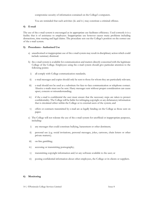compromise security of information contained on the College's computers.

You are reminded that such activities (iii. and iv.) may constitute a criminal offence.

#### **4) E-mail**

The use of the e-mail system is encouraged as its appropriate use facilitates efficiency. Used correctly it is a facility that is of assistance to employees. Inappropriate use however causes many problems including distractions, time wasting and legal claims. The procedure sets out the College's position on the correct use of the e-mail system.

#### **5) Procedures - Authorised Use**

- a) unauthorised or inappropriate use of the e-mail system may result in disciplinary action which could include summary dismissal.
- b) the e-mail system is available for communication and matters directly concerned with the legitimate College of the College. Employees using the e-mail system should give particular attention to the following points:
	- i) all comply with College communication standards;
- ii) e-mail messages and copies should only be sent to those for whom they are particularly relevant;
- iii) e-mail should not be used as a substitute for face-to-face communication or telephone contact. Abusive e-mails must not be sent. Hasty messages sent without proper consideration can cause upset, concern or misunderstanding;
- iv) if the e-mail is confidential the user must ensure that the necessary steps are taken to protect confidentiality. The College will be liable for infringing copyright or any defamatory information that is circulated either within the College or to external users of the system; and
- v) offers or contracts transmitted by e-mail are as legally binding on the College as those sent on paper.
- c) The College will not tolerate the use of the e-mail system for unofficial or inappropriate purposes, including:
	- i) any messages that could constitute bullying, harassment or other detriment;
- ii) personal use (e.g. social invitations, personal messages, jokes, cartoons, chain letters or other private matters);
- iii) on-line gambling;
- iv) accessing or transmitting pornography;
- v) transmitting copyright information and/or any software available to the user; or
- vi) posting confidential information about other employees, the College or its clients or suppliers.

#### **6) Monitoring**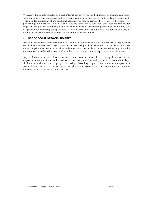We reserve the right to monitor all e-mail/internet activity by you for the purposes of ensuring compliance with our policies and procedures and of ensuring compliance with the relevant regulatory requirements. This includes monitoring of any additional accounts you may be requested to set up for the purposes of performing your work tasks, which are subject to the same rules as your work email account. Information acquired through such monitoring may be used as evidence in disciplinary proceedings. Monitoring your usage will mean processing your personal data. You may read more about the data we hold on you, why we hold it and the lawful basis that applies in the employee privacy notice.

#### **J) USE OF SOCIAL NETWORKING SITES**

Any work related issue or material that could identify an individual who is a client or work colleague, which could adversely affect the College, a client or our relationship with any client must not be placed on a social networking site. This means that work related matters must not be placed on any such site at any time either during or outside of working hours and includes access via any computer equipment or mobile device.

Any work content or material, or contacts or connections list, created by you during the course of your employment, on any of your authorised social networking sites (ownership of which vests in the College) shall remain, at all times, the property of the College. Accordingly, upon termination of your employment, you shall hand over to the College, the access rights to your accounts, together with any work content or material, and any contacts or connections list.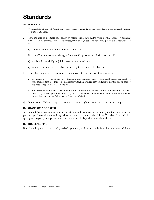# **Standards**

# **A) WASTAGE**

- 1) We maintain a policy of "minimum waste" which is essential to the cost-effective and efficient running of our organisation.
- 2) You are able to promote this policy by taking extra care during your normal duties by avoiding unnecessary or extravagant use of services, time, energy, etc. The following points are illustrations of this:
	- a) handle machines, equipment and stock with care;
	- b) turn off any unnecessary lighting and heating. Keep doors closed whenever possible;
	- c) ask for other work if your job has come to a standstill; and
	- d) start with the minimum of delay after arriving for work and after breaks.
- 3) The following provision is an express written term of your contract of employment:
	- a) any damage to stock or property (including non-statutory safety equipment) that is the result of your carelessness, negligence or deliberate vandalism will render you liable to pay the full or part of the cost of repair or replacement; and
	- b) any loss to us that is the result of your failure to observe rules, procedures or instruction, or is as a result of your negligent behaviour or your unsatisfactory standards of work will render you liable to reimburse to us the full or part of the cost of the loss.
- 4) In the event of failure to pay, we have the contractual right to deduct such costs from your pay.

# **B) STANDARDS OF DRESS**

As you are liable to come into contact with visitors and members of the public, it is important that you present a professional image with regard to appearance and standards of dress. You should wear clothes appropriate to your job responsibilities, and they should be kept clean and tidy at all times.

# **C) HOUSEKEEPING**

Both from the point of view of safety and of appearance, work areas must be kept clean and tidy at all times.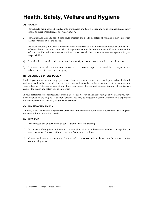# **Health, Safety, Welfare and Hygiene**

# **A) SAFETY**

- 1) You should make yourself familiar with our Health and Safety Policy and your own health and safety duties and responsibilities, as shown separately.
- 2) You must not take any action that could threaten the health or safety of yourself, other employees, clients or members of the public.
- 3) Protective clothing and other equipment which may be issued for your protection because of the nature of your job must be worn and used at all appropriate times. Failure to do so could be a contravention of your health and safety responsibilities. Once issued, this protective wear/equipment is your responsibility.
- 4) You should report all accidents and injuries at work, no matter how minor, in the accident book.
- 5) You must ensure that you are aware of our fire and evacuation procedures and the action you should take in the event of such an emergency.

# **B) ALCOHOL & DRUGS POLICY**

Under legislation we, as your employer, have a duty to ensure so far as is reasonably practicable, the health and safety and welfare at work of all our employees and similarly you have a responsibility to yourself and your colleagues. The use of alcohol and drugs may impair the safe and efficient running of the College and/or the health and safety of our employees.

If your performance or attendance at work is affected as a result of alcohol or drugs, or we believe you have been involved in any drug related action/offence, you may be subject to disciplinary action and, dependent on the circumstances, this may lead to your dismissal.

#### **C) NO SMOKING POLICY**

Smoking is not allowed on the premises other than in the common room quad/kitchen yard. Smoking may only occur during authorised breaks.

# **D) HYGIENE**

- 1) Any exposed cut or burn must be covered with a first-aid dressing.
- 2) If you are suffering from an infectious or contagious disease or illness such as rubella or hepatitis you must not report for work without clearance from your own doctor.
- 3) Contact with any person suffering from an infectious or contagious disease must be reported before commencing work.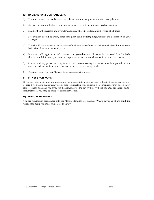#### **E) HYGIENE FOR FOOD HANDLERS**

- 1) You must wash your hands immediately before commencing work and after using the toilet.
- 2) Any cut or burn on the hand or arm must be covered with an approved visible dressing.
- 3) Head or beard coverings and overalls/uniforms, where provided, must be worn at all times.
- 4) No jewellery should be worn, other than plain band wedding rings, without the permission of your Manager.
- 5) You should not wear excessive amounts of make-up or perfume and nail varnish should not be worn. Nails should be kept clean and short.
- 6) If you are suffering from an infectious or contagious disease or illness, or have a bowel disorder, boils, skin or mouth infection, you must not report for work without clearance from your own doctor.
- 7) Contact with any person suffering from an infectious or contagious disease must be reported and you must have clearance from your own doctor before commencing work.
- 8) You must report to your Manager before commencing work.

#### **F) FITNESS FOR WORK**

If you arrive for work and, in our opinion, you are not fit to work, we reserve the right to exercise our duty of care if we believe that you may not be able to undertake your duties in a safe manner or may pose a safety risk to others, and send you away for the remainder of the day with or without pay and, dependent on the circumstances, you may be liable to disciplinary action.

#### **G) MANUAL HANDLING**

You are required, in accordance with the Manual Handling Regulations 1992, to advise us of any condition which may make you more vulnerable to injury.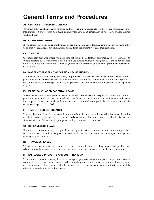# **General Terms and Procedures**

# **A) CHANGES IN PERSONAL DETAILS**

You must notify us of any change of name, address, telephone number, etc., so that we can maintain accurate information on our records and make contact with you in an emergency, if necessary, outside normal working hours.

## **B) OTHER EMPLOYMENT**

If you already have any other employment or are considering any additional employment you must notify us so that we can discuss any implications arising from the current working time legislation.

# **C) TIME OFF**

Circumstances may arise where you need time off for medical/dental appointments, or for other reasons. Where possible, such appointments should be made outside normal working hours. If this is not possible, time off required for these purposes may be granted at the discretion of your Manager and will normally be without pay.

#### **D) MATERNITY/PATERNITY/ADOPTION LEAVE AND PAY**

You may be entitled to maternity/paternity/adoption leave and pay in accordance with the current statutory provisions. If you (or your partner) become pregnant or are notified of a match date for adoption purposes you should notify your Manager at an early stage so that your entitlements and obligations can be explained to you.

#### **E) PARENTAL/SHARED PARENTAL LEAVE**

If you are entitled to take parental leave or shared parental leave in respect of the current statutory provisions, you should discuss your needs with the Bursar who will identify your entitlements and look at the proposed leave periods dependent upon your child's/children's particular circumstances and the operational aspects of the College.

#### **F) TIME OFF FOR DEPENDANTS**

You may be entitled to take a reasonable amount of unpaid time off during working hours to take action that is necessary to provide help to your dependants. Should this be necessary you should discuss your situation with the Bursar who, if appropriate, will agree the necessary time off.

#### **G) BEREAVEMENT LEAVE**

Reactions to bereavement may vary greatly according to individual circumstances and the setting of fixed rules for time off is therefore inappropriate. You should discuss your circumstances with your Manager and agree appropriate time off.

#### **H) TRAVEL EXPENSES**

We will reimburse you for any reasonable expenses incurred whilst travelling on our College. The rules relating to travelling expenses will be issued separately. You must provide receipts for any expenditure.

# **I) EMPLOYEES' PROPERTY AND LOST PROPERTY**

We do not accept liability for any loss of, or damage to, property that you bring onto the premises. You are requested not to bring personal items of value onto the premises and, in particular, not to leave any items overnight. Articles of lost property should be handed to the College Secretary who will retain them whilst attempts are made to discover the owner.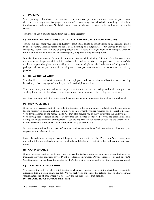## **J) PARKING**

Where parking facilities have been made available to you on our premises you must ensure that you observe all of our traffic requirements e.g. speed limits, etc. To avoid congestion, all vehicles must be parked only in the designated parking areas. No liability is accepted for damage to private vehicles, however it may be caused.

You must obtain a parking permit from the College Secretary.

#### **K) FRIENDS AND RELATIVES CONTACT / TELEPHONE CALLS / MOBILE PHONES**

You should discourage your friends and relatives from either calling on you in person or by telephone except in an emergency. Personal telephone calls, both incoming and outgoing are only allowed in the case of emergency. Permission to make outgoing personal calls should be sought from your Manager. Personal mobile phones should be only used for emergency purposes during working hours.

It is illegal to use a mobile phone without a hands-free set whilst driving. It is our policy that you should not use any mobile phone whilst driving without a hands-free set. You should pull over to the side of the road in an appropriate place before making or receiving any telephone calls. In the event of being unable to pick up a call because you cannot find a safe place to park, you must return the call as soon as conveniently possible.

#### **L) BEHAVIOUR AT WORK**

You should behave with civility towards fellow employees, students and visitors. Objectionable or insulting behaviour, or bad language will render you liable to disciplinary action.

You should use your best endeavours to promote the interests of the College and shall, during normal working hours, devote the whole of your time, attention and abilities to the College and its affairs.

Any involvement in activities which could be construed as being in competition with us is not allowed.

#### **M) DRIVING LICENCE**

If driving is a necessary part of your role it is imperative that you maintain a valid driving licence suitable for the vehicle you operate at all times during your employment. You are required upon request to produce your driving licence to the management. We may also require you to provide us with the ability to access your driving licence details online. If at any time your licence is endorsed, or you are disqualified from driving, we must be informed immediately. If you are required to drive as part of your job and we are unable to find alternative employment, your employment may be terminated.

If you are required to drive as part of your job and we are unable to find alternative employment, your employment may be terminated.

Data collected about driving licences will be processed in line with the Data Protection Act. You may read more about the data we hold on you, why we hold it and the lawful basis that applies in the employee privacy notice.

#### **N) CAR INSURANCE**

If your position requires you to use your own car for College purposes, you must ensure that your car insurance provides adequate cover. Proof of adequate insurance, Driving Licence, Tax and an MOT Certificate must be produced for scrutiny by the College, upon renewal and at any time when so requested.

#### **O) THIRD PARTY INVOLVEMENT**

We reserve the right to allow third parties to chair any meeting, for example disciplinary, capability, grievance, this is not an exhaustive list. We will seek your consent at the relevant time to share relevant 'special categories of data' where it is necessary for the purposes of that hearing.

# **P) RECORDING OF FORMAL MEETINGS**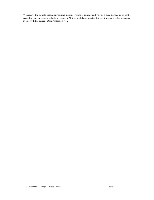We reserve the right to record any formal meetings whether conducted by us or a third party, a copy of the recording can be made available on request. All personal data collected for this purpose will be processed in line with the current Data Protection Act.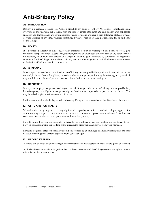# **Anti-Bribery Policy**

# **A) INTRODUCTION**

Bribery is a criminal offence. The College prohibits any form of bribery. We require compliance, from everyone connected with our College, with the highest ethical standards and anti-bribery laws applicable. Integrity and transparency are of utmost importance to us and we have a zero tolerance attitude towards corrupt activities of any kind, whether committed by employees or by third parties acting for or on behalf of the College.

# **B) POLICY**

It is prohibited, directly or indirectly, for any employee or person working on our behalf to offer, give, request or accept any bribe i.e. gift, loan, payment, reward or advantage, either in cash or any other form of inducement, to or from any person or College in order to gain commercial, contractual or regulatory advantage for the College, or in order to gain any personal advantage for an individual or anyone connected with the individual in a way that is unethical.

# **C) SUSPICION**

If we suspect that you have committed an act of bribery or attempted bribery, an investigation will be carried out and, in line with our disciplinary procedure where appropriate, action may be taken against you which may result in your dismissal, or the cessation of our College arrangement with you.

# **D) REPORTING**

If you, as an employee or person working on our behalf, suspect that an act of bribery or attempted bribery has taken place, even if you are not personally involved, you are expected to report this to the Bursar. You may be asked to give a written account of events.

Staff are reminded of the College's Whistleblowing Policy which is available in this Employee Handbook.

# **E) GIFTS AND HOSPITALITY**

We realise that the giving and receiving of gifts and hospitality as a reflection of friendship or appreciation where nothing is expected in return may occur, or even be commonplace, in our industry. This does not constitute bribery where it is proportionate and recorded properly.

No gift should be given nor hospitality offered by an employee or anyone working on our behalf to any party in connection with our College without receiving prior written approval from your Manager.

Similarly, no gift or offer of hospitality should be accepted by an employee or anyone working on our behalf without receiving prior written approval from your Manager.

# **F) RECORD KEEPING**

A record will be made by your Manager of every instance in which gifts or hospitality are given or received.

As the law is constantly changing, this policy is subject to review and the College reserves the right to amend this policy without prior notice.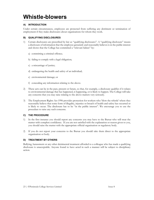# **Whistle-blowers**

# **A) INTRODUCTION**

Under certain circumstances, employees are protected from suffering any detriment or termination of employment if they make disclosures about organisations for whom they work.

## **B) QUALIFYING DISCLOSURES**

- 1) Certain disclosures are prescribed by law as "qualifying disclosures". A "qualifying disclosure" means a disclosure of information that the employee genuinely and reasonably believes is in the public interest and shows that the College has committed a "relevant failure" by:
	- a) committing a criminal offence;
	- b) failing to comply with a legal obligation;
	- c) a miscarriage of justice;
	- d) endangering the health and safety of an individual;
	- e) environmental damage; or
	- f) concealing any information relating to the above.
- 2) These acts can be in the past, present or future, so that, for example, a disclosure qualifies if it relates to environmental damage that has happened, is happening, or is likely to happen. The College will take any concerns that you may raise relating to the above matters very seriously.
- 3) The Employment Rights Act 1996 provides protection for workers who 'blow the whistle' where they reasonably believe that some form of illegality, injustice or breach of health and safety has occurred or is likely to occur. The disclosure has to be "in the public interest". We encourage you to use the procedure to raise any such concerns.

# **C) THE PROCEDURE**

- 1) In the first instance you should report any concerns you may have to the Bursar who will treat the matter with complete confidence. If you are not satisfied with the explanation or reason given to you, you should raise the matter with the appropriate official organisation or regulatory body.
- 2) If you do not report your concerns to the Bursar you should take them direct to the appropriate organisation or body.

#### **D) TREATMENT BY OTHERS**

Bullying, harassment or any other detrimental treatment afforded to a colleague who has made a qualifying disclosure is unacceptable. Anyone found to have acted in such a manner will be subject to disciplinary action.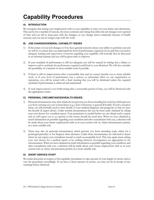# **Capability Procedures**

# **A) INTRODUCTION**

We recognise that during your employment with us your capability to carry out your duties may deteriorate. This can be for a number of reasons, the most common ones being that either the job changes over a period of time and you fail to keep pace with the changes, or you change (most commonly because of health reasons) and you can no longer cope with the work.

# **B) JOB CHANGES/GENERAL CAPABILITY ISSUES**

- 1) If the nature of your job changes or if we have general concerns about your ability to perform your job we will try to ensure that you understand the level of performance expected of you and that you receive adequate training and supervision. Concerns regarding your capability will normally first be discussed in an informal manner and you will be given time to improve.
- 2) If your standard of performance is still not adequate you will be warned in writing that a failure to improve and to maintain the performance required could lead to your dismissal. We will also consider the possibility of a transfer to more suitable work if possible.
- 3) If there is still no improvement after a reasonable time and we cannot transfer you to more suitable work, or if your level of performance has a serious or substantial effect on our organisation or reputation, you will be issued with a final warning that you will be dismissed unless the required standard of performance is achieved and maintained.
- 4) If such improvement is not forthcoming after a reasonable period of time, you will be dismissed with the appropriate notice.

# **C) PERSONAL CIRCUMSTANCES/HEALTH ISSUES**

- 1) Personal circumstances may arise which do not prevent you from attending for work but which prevent you from carrying out your normal duties (e.g. a lack of dexterity or general ill health). If such a situation arises, we will normally need to have details of your medical diagnosis and prognosis so that we have the benefit of expert advice. Under normal circumstances this can be most easily obtained by asking your own doctor for a medical report. Your permission is needed before we can obtain such a report and we will expect you to co-operate in this matter should the need arise. When we have obtained as much information as possible regarding your condition and after consultation with you, a decision will be made about your future employment with us in your current role or, where circumstances permit, in a more suitable role.
- 2) There may also be personal circumstances which prevent you from attending work, either for a prolonged period(s) or for frequent short absences. Under these circumstances we will need to know when we can expect your attendance record to reach an acceptable level. This may again mean asking your own doctor for a medical report or by making whatever investigations are appropriate in the circumstances. When we have obtained as much information as possible regarding your condition, and after consultation with you, a decision will be made about your future employment with us in your current role or, where circumstances permit, in a more suitable role.

# **D) SHORT SERVICE STAFF**

We retain discretion in respect of the capability procedures to take account of your length of service and to vary the procedures accordingly. If you have a short amount of service, you may not be in receipt of any warnings before dismissal.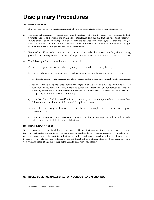# **Disciplinary Procedures**

# **A) INTRODUCTION**

- 1) It is necessary to have a minimum number of rules in the interests of the whole organisation.
- 2) The rules set standards of performance and behaviour whilst the procedures are designed to help promote fairness and order in the treatment of individuals. It is our aim that the rules and procedures should emphasise and encourage improvement in the conduct of individuals, where they are failing to meet the required standards, and not be seen merely as a means of punishment. We reserve the right to amend these rules and procedures where appropriate.
- 3) Every effort will be made to ensure that any action taken under this procedure is fair, with you being given the opportunity to state your case and appeal against any decision that you consider to be unjust.
- 4) The following rules and procedures should ensure that:
	- a) the correct procedure is used when requiring you to attend a disciplinary hearing;
	- b) you are fully aware of the standards of performance, action and behaviour required of you;
	- c) disciplinary action, where necessary, is taken speedily and in a fair, uniform and consistent manner;
	- d) you will only be disciplined after careful investigation of the facts and the opportunity to present your side of the case. On some occasions temporary suspension on contractual pay may be necessary in order that an uninterrupted investigation can take place. This must not be regarded as disciplinary action or a penalty of any kind;
	- e) other than for an "off the record" informal reprimand, you have the right to be accompanied by a fellow employee at all stages of the formal disciplinary process;
	- f) you will not normally be dismissed for a first breach of discipline, except in the case of gross misconduct; and
	- g) if you are disciplined, you will receive an explanation of the penalty imposed and you will have the right to appeal against the finding and the penalty.

#### **B) DISCIPLINARY RULES**

It is not practicable to specify all disciplinary rules or offences that may result in disciplinary action, as they may vary depending on the nature of the work. In addition to the specific examples of unsatisfactory conduct, misconduct and gross misconduct shown in this handbook, a breach of other specific conditions, procedures, rules etc. that are contained within this handbook or that have otherwise been made known to you, will also result in this procedure being used to deal with such matters.

#### **C) RULES COVERING UNSATISFACTORY CONDUCT AND MISCONDUCT**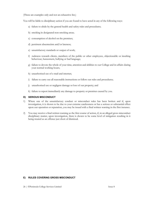(These are examples only and not an exhaustive list.)

You will be liable to disciplinary action if you are found to have acted in any of the following ways:

- a) failure to abide by the general health and safety rules and procedures;
- b) smoking in designated non-smoking areas;
- c) consumption of alcohol on the premises;
- d) persistent absenteeism and/or lateness;
- e) unsatisfactory standards or output of work;
- f) rudeness towards clients, members of the public or other employees, objectionable or insulting behaviour, harassment, bullying or bad language;
- g) failure to devote the whole of your time, attention and abilities to our College and its affairs during your normal working hours;
- h) unauthorised use of e-mail and internet;
- i) failure to carry out all reasonable instructions or follow our rules and procedures;
- j) unauthorised use or negligent damage or loss of our property; and
- k) failure to report immediately any damage to property or premises caused by you.

#### **D) SERIOUS MISCONDUCT**

- 1) Where one of the unsatisfactory conduct or misconduct rules has been broken and if, upon investigation, it is shown to be due to your extreme carelessness or has a serious or substantial effect upon our operation or reputation, you may be issued with a final written warning in the first instance.
- 2) You may receive a final written warning as the first course of action, if, in an alleged gross misconduct disciplinary matter, upon investigation, there is shown to be some level of mitigation resulting in it being treated as an offence just short of dismissal.

#### **E) RULES COVERING GROSS MISCONDUCT**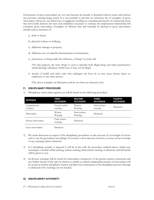Occurrences of gross misconduct are very rare because the penalty is dismissal without notice and without any previous warning being issued. It is not possible to provide an exhaustive list of examples of gross misconduct. However, any behaviour or negligence resulting in a fundamental breach of contractual terms that irrevocably destroys the trust and confidence necessary to continue the employment relationship will constitute gross misconduct. Examples of offences that will normally be deemed as gross misconduct include serious instances of:

- a) theft or fraud;
- b) physical violence or bullying;
- c) deliberate damage to property;
- d) deliberate acts of unlawful discrimination or harassment;
- e) possession, or being under the influence, of drugs\* at work; and

\*For this purpose, the term 'drugs' is used to describe both illegal drugs and other psychoactive (mind-altering) substances which may or may not be illegal.

f) breach of health and safety rules that endangers the lives of, or may cause serious injury to, employees or any other person.

(The above examples are illustrative and do not form an exhaustive list.)

#### **F) DISCIPLINARY PROCEDURE**

1) Disciplinary action taken against you will be based on the following procedure:

| <b>OFFENCE</b>            | <b>FIRST</b><br><b>OCCASION</b> | <b>SECOND</b><br><b>OCCASION</b> | <b>THIRD</b><br><b>OCCASION</b> | <b>FOURTH</b><br><b>OCCASION</b> |
|---------------------------|---------------------------------|----------------------------------|---------------------------------|----------------------------------|
| Unsatisfactory<br>Conduct | Formal verbal<br>warning        | Written<br>Warning               | Final written<br>warning        | Dismissal                        |
| Misconduct                | Written<br>Warning              | Final written<br>Warning         | Dismissal                       |                                  |
| Serious misconduct        | Final written<br>warning        | Dismissal                        |                                 |                                  |
|                           |                                 |                                  |                                 |                                  |

Gross misconduct Dismissal

- 2) We retain discretion in respect of the disciplinary procedures to take account of your length of service and to vary the procedures accordingly. If you have a short amount of service you may not be in receipt of any warnings before dismissal.
- 3) If a disciplinary penalty is imposed it will be in line with the procedure outlined above, which may encompass a formal verbal warning, written warning, final written warning, or dismissal, and full details will be given to you.
- 4) In all cases warnings will be issued for misconduct, irrespective of the precise matters concerned, and any further breach of the rules in relation to similar or entirely independent matters of misconduct will be treated as further disciplinary matters and allow the continuation of the disciplinary process through to dismissal if the warnings are not heeded.

#### **G) DISCIPLINARY AUTHORITY**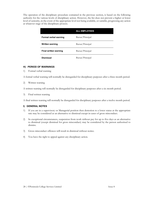The operation of the disciplinary procedure contained in the previous section, is based on the following authority for the various levels of disciplinary action. However, the list does not prevent a higher or lower level of seniority, in the event of the appropriate level not being available, or suitable, progressing any action at whatever stage of the disciplinary process.

|                              | <b>ALL EMPLOYEES</b> |
|------------------------------|----------------------|
| Formal verbal warning        | Bursar/Principal     |
| <b>Written warning</b>       | Bursar/Principal     |
| <b>Final written warning</b> | Bursar/Principal     |
| <b>Dismissal</b>             | Bursar/Principal     |

# **H) PERIOD OF WARNINGS**

1) Formal verbal warning

A formal verbal warning will normally be disregarded for disciplinary purposes after a three month period.

2) Written warning

A written warning will normally be disregarded for disciplinary purposes after a six month period.

3) Final written warning

A final written warning will normally be disregarded for disciplinary purposes after a twelve month period.

#### **I) GENERAL NOTES**

- 1) If you are in a supervisory or Managerial position then demotion to a lower status at the appropriate rate may be considered as an alternative to dismissal except in cases of gross misconduct.
- 2) In exceptional circumstances, suspension from work without pay for up to five days as an alternative to dismissal (except dismissal for gross misconduct) may be considered by the person authorised to dismiss.
- 3) Gross misconduct offences will result in dismissal without notice.
- 4) You have the right to appeal against any disciplinary action.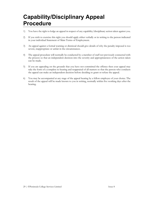# **Capability/Disciplinary Appeal Procedure**

- 1) You have the right to lodge an appeal in respect of any capability/disciplinary action taken against you.
- 2) If you wish to exercise this right you should apply either verbally or in writing to the person indicated in your individual Statement of Main Terms of Employment.
- 3) An appeal against a formal warning or dismissal should give details of why the penalty imposed is too severe, inappropriate or unfair in the circumstances.
- 4) The appeal procedure will normally be conducted by a member of staff not previously connected with the process so that an independent decision into the severity and appropriateness of the action taken can be made.
- 5) If you are appealing on the grounds that you have not committed the offence then your appeal may take the form of a complete re-hearing and reappraisal of all matters so that the person who conducts the appeal can make an independent decision before deciding to grant or refuse the appeal.
- 6) You may be accompanied at any stage of the appeal hearing by a fellow employee of your choice. The result of the appeal will be made known to you in writing, normally within five working days after the hearing.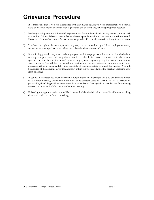# **Grievance Procedure**

- 1) It is important that if you feel dissatisfied with any matter relating to your employment you should have an effective means by which such a grievance can be aired and, where appropriate, resolved.
- 2) Nothing in this procedure is intended to prevent you from informally raising any matter you may wish to mention. Informal discussion can frequently solve problems without the need for a written record. However, if you wish to raise a formal grievance you should normally do so in writing from the outset.
- 3) You have the right to be accompanied at any stage of the procedure by a fellow employee who may act as a witness or speak on your behalf to explain the situation more clearly.
- 4) If you feel aggrieved at any matter relating to your work (except personal harassment, for which there is a separate procedure following this section), you should first raise the matter with the person specified in your Statement of Main Terms of Employment, explaining fully the nature and extent of your grievance. You will then be invited to a meeting at a reasonable time and location at which your grievance will be investigated fully. You must take all reasonable steps to attend this meeting. You will be notified of the decision, in writing, normally within ten working days of the meeting, including your right of appeal.
- 5) If you wish to appeal you must inform the Bursar within five working days. You will then be invited to a further meeting, which you must take all reasonable steps to attend. As far as reasonably practicable, the College will be represented by a more Senior Manager than attended the first meeting (unless the most Senior Manager attended that meeting).
- 6) Following the appeal meeting you will be informed of the final decision, normally within ten working days, which will be confirmed in writing.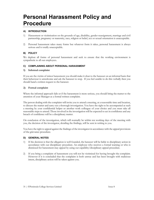# **Personal Harassment Policy and Procedure**

# **A) INTRODUCTION**

- 1) Harassment or victimisation on the grounds of age, disability, gender reassignment, marriage and civil partnership, pregnancy or maternity, race, religion or belief, sex or sexual orientation is unacceptable.
- 2) Personal harassment takes many forms but whatever form it takes, personal harassment is always serious and is totally unacceptable.

#### **B) POLICY**

We deplore all forms of personal harassment and seek to ensure that the working environment is sympathetic to all our employees.

#### **C) COMPLAINING ABOUT PERSONAL HARASSMENT**

#### **1) Informal complaint**

If you are the victim of minor harassment you should make it clear to the harasser on an informal basis that their behaviour is unwelcome and ask the harasser to stop. If you feel unable to do this verbally then you should hand a written request to the harasser.

#### **2) Formal complaint**

Where the informal approach fails or if the harassment is more serious, you should bring the matter to the attention of your Manager as a formal written complaint.

The person dealing with the complaint will invite you to attend a meeting, at a reasonable time and location, to discuss the matter and carry out a thorough investigation. You have the right to be accompanied at such a meeting by your confidential helper or another work colleague of your choice and you must take all reasonable steps to attend. Those involved in the investigation will be expected to act in confidence and any breach of confidence will be a disciplinary matter.

On conclusion of the investigation, which will normally be within ten working days of the meeting with you, the decision of the investigator, detailing the findings, will be sent in writing to you.

You have the right to appeal against the findings of the investigator in accordance with the appeal provisions of the grievance procedure.

#### **D) GENERAL NOTES**

- 1) If the decision is that the allegation is well founded, the harasser will be liable to disciplinary action in accordance with our disciplinary procedure. An employee who receives a formal warning or who is dismissed for harassment may appeal by using our capability/disciplinary appeal procedure.
- 2) If you bring a complaint of harassment you will not be victimised for having brought the complaint. However if it is concluded that the complaint is both untrue and has been brought with malicious intent, disciplinary action will be taken against you.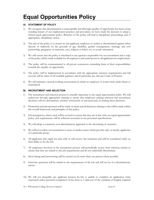# **Equal Opportunities Policy**

# **A) STATEMENT OF POLICY**

- 1) We recognise that discrimination is unacceptable and although equality of opportunity has been a long standing feature of our employment practices and procedure, we have made the decision to adopt a formal equal opportunities policy. Breaches of the policy will lead to disciplinary proceedings and, if appropriate, disciplinary action.
- 2) The aim of the policy is to ensure no job applicant, employee or worker is discriminated against either directly or indirectly on the grounds of age, disability, gender reassignment, marriage and civil partnership, pregnancy or maternity, race, religion or belief, sex or sexual orientation.
- 3) We will ensure that the policy is circulated to any agencies responsible for our recruitment and a copy of the policy will be made available for all employees and made known to all applicants for employment.
- 4) The policy will be communicated to all private contractors reminding them of their responsibilities towards the equality of opportunity.
- 5) The policy will be implemented in accordance with the appropriate statutory requirements and full account will be taken of all available guidance and in particular any relevant Codes of Practice.
- 6) We will maintain a neutral working environment in which no employee or worker feels under threat or intimidated.

#### **B) RECRUITMENT AND SELECTION**

- 1) The recruitment and selection process is crucially important to any equal opportunities policy. We will endeavour through appropriate training to ensure that employees making selection and recruitment decisions will not discriminate, whether consciously or unconsciously, in making these decisions.
- 2) Promotion and advancement will be made on merit and all decisions relating to this will be made within the overall framework and principles of this policy.
- 3) Job descriptions, where used, will be revised to ensure that they are in line with our equal opportunities policy. Job requirements will be reflected accurately in any personnel specifications.
- 4) We will adopt a consistent, non-discriminatory approach to the advertising of vacancies.
- 5) We will not confine our recruitment to areas or media sources which provide only, or mainly, applicants of a particular group.
- 6) All applicants who apply for jobs with us will receive fair treatment and will be considered solely on their ability to do the job.
- 7) All employees involved in the recruitment process will periodically review their selection criteria to ensure that they are related to the job requirements and do not unlawfully discriminate.
- 8) Short listing and interviewing will be carried out by more than one person where possible.
- 9) Interview questions will be related to the requirements of the job and will not be of a discriminatory nature.
- 10) We will not disqualify any applicant because he/she is unable to complete an application form unassisted unless personal completion of the form is a valid test of the standard of English required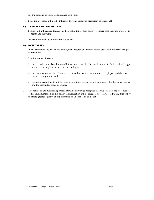for the safe and effective performance of the job.

11) Selection decisions will not be influenced by any perceived prejudices of other staff.

#### **C) TRAINING AND PROMOTION**

- 1) Senior staff will receive training in the application of this policy to ensure that they are aware of its contents and provisions.
- 2) All promotion will be in line with this policy.

## **D) MONITORING**

- 1) We will maintain and review the employment records of all employees in order to monitor the progress of this policy.
- 2) Monitoring may involve:
	- a) the collection and classification of information regarding the race in terms of ethnic/national origin and sex of all applicants and current employees;
	- b) the examination by ethnic/national origin and sex of the distribution of employees and the success rate of the applicants; and
	- c) recording recruitment, training and promotional records of all employees, the decisions reached and the reason for those decisions.
- 3) The results of any monitoring procedure will be reviewed at regular intervals to assess the effectiveness of the implementation of this policy. Consideration will be given, if necessary, to adjusting this policy to afford greater equality of opportunities to all applicants and staff.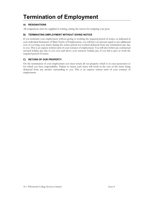# **Termination of Employment**

# **A) RESIGNATIONS**

All resignations must be supplied in writing, stating the reason for resigning your post.

# **B) TERMINATING EMPLOYMENT WITHOUT GIVING NOTICE**

If you terminate your employment without giving or working the required period of notice, as indicated in your individual Statement of Main Terms of Employment, you will have an amount equal to any additional cost of covering your duties during the notice period not worked deducted from any termination pay due to you. This is an express written term of your contract of employment. You will also forfeit any contractual accrued holiday pay due to you over and above your statutory holiday pay, if you fail to give or work the required period of notice.

# **C) RETURN OF OUR PROPERTY**

On the termination of your employment you must return all our property which is in your possession or for which you have responsibility. Failure to return such items will result in the cost of the items being deducted from any monies outstanding to you. This is an express written term of your contract of employment.